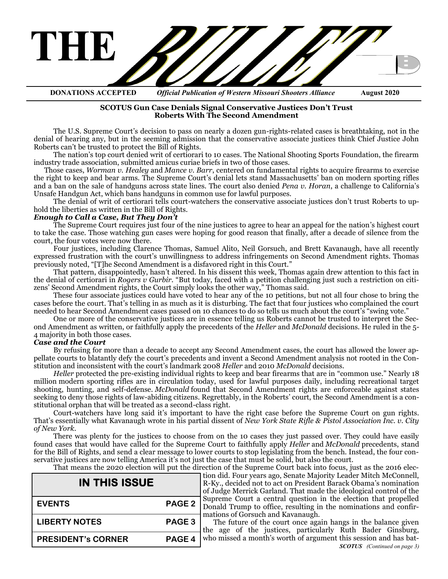

**DONATIONS ACCEPTED** *Official Publication of Western Missouri Shooters Alliance* **August 2020**

#### **[SCOTUS Gun Case Denials Signal Conservative Justices Don](https://thefederalist.com/2020/06/17/scotus-gun-case-denials-signal-conservative-justices-dont-trust-roberts-with-the-second-amendment/)'t Trust [Roberts With The Second Amendment](https://thefederalist.com/2020/06/17/scotus-gun-case-denials-signal-conservative-justices-dont-trust-roberts-with-the-second-amendment/)**

The U.S. Supreme Court's decision to pass on nearly a dozen gun-rights-related cases is breathtaking, not in the denial of hearing any, but in the seeming admission that the conservative associate justices think Chief Justice John Roberts can't be trusted to protect the Bill of Rights.

The nation's top court denied writ of certiorari to 10 cases. The National Shooting Sports Foundation, the firearm industry trade association, submitted amicus curiae briefs in two of those cases.

Those cases, *[Worman v. Healey](https://www.scotusblog.com/case-files/cases/worman-v-healey/)* and *[Mance v. Barr](https://www.scotusblog.com/case-files/cases/mance-v-barr/)*, centered on fundamental rights to acquire firearms to exercise the right to keep and bear arms. The Supreme Court's denial lets stand Massachusetts' ban on modern sporting rifles and a ban on the sale of handguns across state lines. The court also denied *[Pena v. Horan](https://www.scotusblog.com/case-files/cases/pena-v-horan/)*, a challenge to California's Unsafe Handgun Act, which bans handguns in common use for lawful purposes.

The denial of writ of certiorari tells court-watchers the conservative associate justices don't trust Roberts to uphold the liberties as written in the Bill of Rights.

#### *Enough to Call a Case, But They Don't*

The Supreme Court requires just four of the nine justices to agree to hear an appeal for the nation's highest court to take the case. Those watching gun cases were hoping for good reason that finally, after a decade of silence from the court, the four votes were now there.

Four justices, including Clarence Thomas, Samuel Alito, Neil Gorsuch, and Brett Kavanaugh, have all recently expressed frustration with the court's unwillingness to address infringements on Second Amendment rights. Thomas previously noted, "[T]he Second Amendment is a disfavored right in this Court."

That pattern, disappointedly, hasn't altered. In his dissent this week, Thomas again drew attention to this fact in the denial of certiorari in *Rogers v Gurbir*. "But today, faced with a petition challenging just such a restriction on citizens' Second Amendment rights, the Court simply looks the other way," Thomas said.

These four associate justices could have voted to hear any of the 10 petitions, but not all four chose to bring the cases before the court. That's telling in as much as it is disturbing. The fact that four justices who complained the court needed to hear Second Amendment cases passed on 10 chances to do so tells us much about the court's "swing vote."

One or more of the conservative justices are in essence telling us Roberts cannot be trusted to interpret the Second Amendment as written, or faithfully apply the precedents of the *[Heller](https://www.supremecourt.gov/opinions/07pdf/07-290.pdf)* and *[McDonald](https://www.supremecourt.gov/opinions/09pdf/08-1521.pdf)* decisions. He ruled in the 5- 4 majority in both those cases.

#### *Case and the Court*

By refusing for more than a decade to accept any Second Amendment cases, the court has allowed the lower appellate courts to blatantly defy the court's precedents and invent a Second Amendment analysis not rooted in the Constitution and inconsistent with the court's landmark 2008 *[Heller](https://www.supremecourt.gov/opinions/07pdf/07-290.pdf)* and 2010 *[McDonald](https://www.supremecourt.gov/opinions/09pdf/08-1521.pdf)* decisions.

*Heller* protected the pre-existing individual rights to keep and bear firearms that are in "common use." Nearly 18 [million](https://www.nssf.org/nssf-releases-firearms-production-figures/?hilite=%2717.7%27%2C%27million%27) modern sporting rifles are in circulation today, used for lawful purposes daily, including recreational target shooting, hunting, and self-defense. *McDonald* found that Second Amendment rights are enforceable against states seeking to deny those rights of law-abiding citizens. Regrettably, in the Roberts' court, the Second Amendment is a constitutional orphan that will be treated as a second-class right.

Court-watchers have long said it's important to have the right case before the Supreme Court on gun rights. That's essentially what Kavanaugh wrote in his partial dissent of *[New York State Rifle & Pistol Association Inc. v. City](https://www.supremecourt.gov/opinions/19pdf/18-280_ba7d.pdf)  [of New York](https://www.supremecourt.gov/opinions/19pdf/18-280_ba7d.pdf)*.

There was plenty for the justices to choose from on the 10 cases they just passed over. They could have easily found cases that would have called for the Supreme Court to faithfully apply *Heller* and *McDonald* precedents, stand for the Bill of Rights, and send a clear message to lower courts to stop legislating from the bench. Instead, the four conservative justices are now telling America it's not just the case that must be solid, but also the court.

That means the 2020 election will put the direction of the Supreme Court back into focus, just as the 2016 elec-

| <b>IN THIS ISSUE</b>      |                   |
|---------------------------|-------------------|
| <b>EVENTS</b>             | PAGE <sub>2</sub> |
| <b>LIBERTY NOTES</b>      | PAGE <sub>3</sub> |
| <b>PRESIDENT's CORNER</b> | PAGE <sub>4</sub> |

tion did. Four years ago, Senate Majority Leader Mitch McConnell, R-Ky., decided not to act on President Barack Obama's nomination of Judge Merrick Garland. That made the ideological control of the Supreme Court a central question in the election that propelled Donald Trump to office, resulting in the nominations and confirmations of Gorsuch and Kavanaugh.

The future of the court once again hangs in the balance given the age of the justices, particularly Ruth Bader Ginsburg, who [missed](https://www.cnn.com/2020/05/05/politics/ruth-bader-ginsburg-benign-gallbladder-treatment-supreme-court/index.html) a month's worth of argument this session and has bat-*SCOTUS (Continued on page 3)*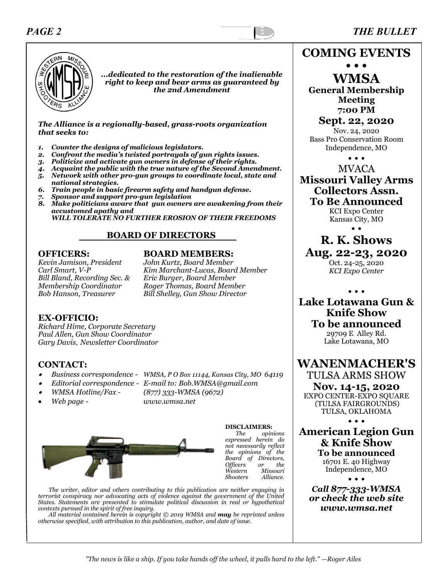# *PAGE 2 THE BULLET*



*...dedicated to the restoration of the inalienable right to keep and bear arms as guaranteed by the 2nd Amendment*

*The Alliance is a regionally-based, grass-roots organization that seeks to:*

- *1. Counter the designs of malicious legislators.*
- *2. Confront the media's twisted portrayals of gun rights issues.*
- *3. Politicize and activate gun owners in defense of their rights.*
- *4. Acquaint the public with the true nature of the Second Amendment.*
- *5. Network with other pro-gun groups to coordinate local, state and*
- *national strategies. 6. Train people in basic firearm safety and handgun defense.*
- *7. Sponsor and support pro-gun legislation*
- *8. Make politicians aware that gun owners are awakening from their accustomed apathy and*

 *WILL TOLERATE NO FURTHER EROSION OF THEIR FREEDOMS*

#### **BOARD OF DIRECTORS**

*Kevin Jamison, President John Kurtz, Board Member Bill Bland, Recording Sec. & Membership Coordinator* 

#### **OFFICERS: BOARD MEMBERS:**

*Carl Smart, V-P Kim Marchant-Lucas, Board Member Membership Coordinator Roger Thomas, Board Member Bob Hanson, Treasurer Bill Shelley, Gun Show Director* 

#### **EX-OFFICIO:**

*Richard Hime, Corporate Secretary Paul Allen, Gun Show Coordinator Gary Davis, Newsletter Coordinator*

#### **CONTACT:**

- •
- *Business correspondence - WMSA, P O Box 11144, Kansas City, MO 64119*
- •*Editorial correspondence - E-mail to: Bob.WMSA@gmail.com*
- •
- *WMSA Hotline/Fax - (877) 333-WMSA (9672)*
- 
- *Web page - www.wmsa.net*



**DISCLAIMERS:**  *The opinions expressed herein do not necessarily reflect the opinions of the Board of Directors, Officers or the Western Missouri Shooters Alliance.*

*The writer, editor and others contributing to this publication are neither engaging in terrorist conspiracy nor advocating acts of violence against the government of the United States. Statements are presented to stimulate political discussion in real or hypothetical contexts pursued in the spirit of free inquiry.*

*All material contained herein is copyright © 2019 WMSA and may be reprinted unless otherwise specified, with attribution to this publication, author, and date of issue.*

**COMING EVENTS**

**• • • WMSA General Membership Meeting 7:00 PM**

**Sept. 22, 2020** Nov. 24, 2020 Bass Pro Conservation Room Independence, MO

• • •

### MVACA **Missouri Valley Arms Collectors Assn. To Be Announced**

KCI Expo Center Kansas City, MO • •

**R. K. Shows**

**Aug. 22-23, 2020**

Oct. 24-25, 2020 *KCI Expo Center*

• • •

## **Lake Lotawana Gun & Knife Show To be announced**

29709 E Alley Rd. Lake Lotawana, MO

**WANENMACHER'S**

TULSA ARMS SHOW

#### **Nov. 14-15, 2020**

EXPO CENTER-EXPO SQUARE (TULSA FAIRGROUNDS) TULSA, OKLAHOMA

• • •

**American Legion Gun & Knife Show To be announced**

16701 E. 40 Highway Independence, MO

• • • *Call 877-333-WMSA or check the web site www.wmsa.net*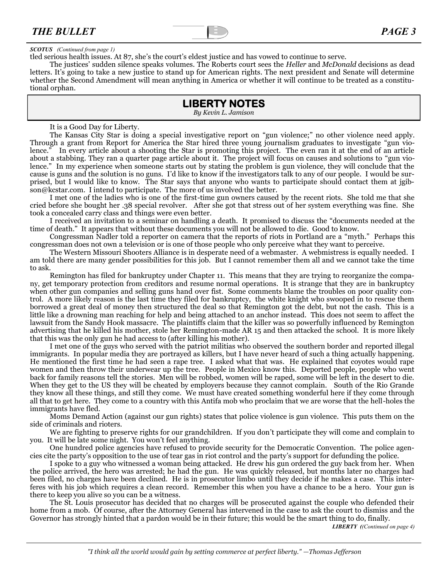

#### *SCOTUS (Continued from page 1)*

tled serious health issues. At 87, she's the court's eldest justice and has vowed to continue to serve.

The justices' sudden silence speaks volumes. The Roberts court sees the *Heller* and *McDonald* decisions as dead letters. It's going to take a new justice to stand up for American rights. The next president and Senate will determine whether the Second Amendment will mean anything in America or whether it will continue to be treated as a constitutional orphan.

# **LIBERTY NOTES**

*By Kevin L. Jamison*

It is a Good Day for Liberty.

The Kansas City Star is doing a special investigative report on "gun violence;" no other violence need apply. Through a grant from Report for America the Star hired three young journalism graduates to investigate "gun violence." In every article about a shooting the Star is promoting this project. The even ran it at the end of an article about a stabbing. They ran a quarter page article about it. The project will focus on causes and solutions to "gun violence." In my experience when someone starts out by stating the problem is gun violence, they will conclude that the cause is guns and the solution is no guns. I'd like to know if the investigators talk to any of our people. I would be surprised, but I would like to know. The Star says that anyone who wants to participate should contact them at jgibson@kcstar.com. I intend to participate. The more of us involved the better.

I met one of the ladies who is one of the first-time gun owners caused by the recent riots. She told me that she cried before she bought her .38 special revolver. After she got that stress out of her system everything was fine. She took a concealed carry class and things were even better.

I received an invitation to a seminar on handling a death. It promised to discuss the "documents needed at the time of death." It appears that without these documents you will not be allowed to die. Good to know.

Congressman Nadler told a reporter on camera that the reports of riots in Portland are a "myth." Perhaps this congressman does not own a television or is one of those people who only perceive what they want to perceive.

The Western Missouri Shooters Alliance is in desperate need of a webmaster. A webmistress is equally needed. I am told there are many gender possibilities for this job. But I cannot remember them all and we cannot take the time to ask.

Remington has filed for bankruptcy under Chapter 11. This means that they are trying to reorganize the company, get temporary protection from creditors and resume normal operations. It is strange that they are in bankruptcy when other gun companies and selling guns hand over fist. Some comments blame the troubles on poor quality control. A more likely reason is the last time they filed for bankruptcy, the white knight who swooped in to rescue them borrowed a great deal of money then structured the deal so that Remington got the debt, but not the cash. This is a little like a drowning man reaching for help and being attached to an anchor instead. This does not seem to affect the lawsuit from the Sandy Hook massacre. The plaintiffs claim that the killer was so powerfully influenced by Remington advertising that he killed his mother, stole her Remington-made AR 15 and then attacked the school. It is more likely that this was the only gun he had access to (after killing his mother).

I met one of the guys who served with the patriot militias who observed the southern border and reported illegal immigrants. In popular media they are portrayed as killers, but I have never heard of such a thing actually happening. He mentioned the first time he had seen a rape tree. I asked what that was. He explained that coyotes would rape women and then throw their underwear up the tree. People in Mexico know this. Deported people, people who went back for family reasons tell the stories. Men will be robbed, women will be raped, some will be left in the desert to die. When they get to the US they will be cheated by employers because they cannot complain. South of the Rio Grande they know all these things, and still they come. We must have created something wonderful here if they come through all that to get here. They come to a country with this Antifa mob who proclaim that we are worse that the hell-holes the immigrants have fled.

Moms Demand Action (against our gun rights) states that police violence is gun violence. This puts them on the side of criminals and rioters.

We are fighting to preserve rights for our grandchildren. If you don't participate they will come and complain to you. It will be late some night. You won't feel anything.

One hundred police agencies have refused to provide security for the Democratic Convention. The police agencies cite the party's opposition to the use of tear gas in riot control and the party's support for defunding the police.

I spoke to a guy who witnessed a woman being attacked. He drew his gun ordered the guy back from her. When the police arrived, the hero was arrested; he had the gun. He was quickly released, but months later no charges had been filed, no charges have been declined. He is in prosecutor limbo until they decide if he makes a case. This interferes with his job which requires a clean record. Remember this when you have a chance to be a hero. Your gun is there to keep you alive so you can be a witness.

The St. Louis prosecutor has decided that no charges will be prosecuted against the couple who defended their home from a mob. Of course, after the Attorney General has intervened in the case to ask the court to dismiss and the Governor has strongly hinted that a pardon would be in their future; this would be the smart thing to do, finally.

*LIBERTY ((Continued on page 4)*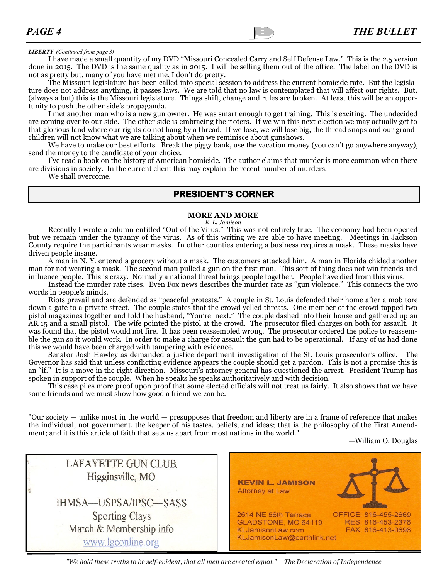#### *LIBERTY (Continued from page 3)*

I have made a small quantity of my DVD "Missouri Concealed Carry and Self Defense Law." This is the 2.5 version done in 2015. The DVD is the same quality as in 2015. I will be selling them out of the office. The label on the DVD is not as pretty but, many of you have met me, I don't do pretty.

The Missouri legislature has been called into special session to address the current homicide rate. But the legislature does not address anything, it passes laws. We are told that no law is contemplated that will affect our rights. But, (always a but) this is the Missouri legislature. Things shift, change and rules are broken. At least this will be an opportunity to push the other side's propaganda.

I met another man who is a new gun owner. He was smart enough to get training. This is exciting. The undecided are coming over to our side. The other side is embracing the rioters. If we win this next election we may actually get to that glorious land where our rights do not hang by a thread. If we lose, we will lose big, the thread snaps and our grandchildren will not know what we are talking about when we reminisce about gunshows.

We have to make our best efforts. Break the piggy bank, use the vacation money (you can't go anywhere anyway), send the money to the candidate of your choice.

I've read a book on the history of American homicide. The author claims that murder is more common when there are divisions in society. In the current client this may explain the recent number of murders.

We shall overcome.

### **PRESIDENT'S CORNER**

#### **MORE AND MORE**

*K. L. Jamison*

Recently I wrote a column entitled "Out of the Virus." This was not entirely true. The economy had been opened but we remain under the tyranny of the virus. As of this writing we are able to have meeting. Meetings in Jackson County require the participants wear masks. In other counties entering a business requires a mask. These masks have driven people insane.

A man in N. Y. entered a grocery without a mask. The customers attacked him. A man in Florida chided another man for not wearing a mask. The second man pulled a gun on the first man. This sort of thing does not win friends and influence people. This is crazy. Normally a national threat brings people together. People have died from this virus.

Instead the murder rate rises. Even Fox news describes the murder rate as "gun violence." This connects the two words in people's minds.

Riots prevail and are defended as "peaceful protests." A couple in St. Louis defended their home after a mob tore down a gate to a private street. The couple states that the crowd yelled threats. One member of the crowd tapped two pistol magazines together and told the husband, "You're next." The couple dashed into their house and gathered up an AR 15 and a small pistol. The wife pointed the pistol at the crowd. The prosecutor filed charges on both for assault. It was found that the pistol would not fire. It has been reassembled wrong. The prosecutor ordered the police to reassemble the gun so it would work. In order to make a charge for assault the gun had to be operational. If any of us had done this we would have been charged with tampering with evidence.

Senator Josh Hawley as demanded a justice department investigation of the St. Louis prosecutor's office. The Governor has said that unless conflicting evidence appears the couple should get a pardon. This is not a promise this is an "if." It is a move in the right direction. Missouri's attorney general has questioned the arrest. President Trump has spoken in support of the couple. When he speaks he speaks authoritatively and with decision.

This case piles more proof upon proof that some elected officials will not treat us fairly. It also shows that we have some friends and we must show how good a friend we can be.

"Our society — unlike most in the world — presupposes that freedom and liberty are in a frame of reference that makes the individual, not government, the keeper of his tastes, beliefs, and ideas; that is the philosophy of the First Amendment; and it is this article of faith that sets us apart from most nations in the world."

—William O. Douglas

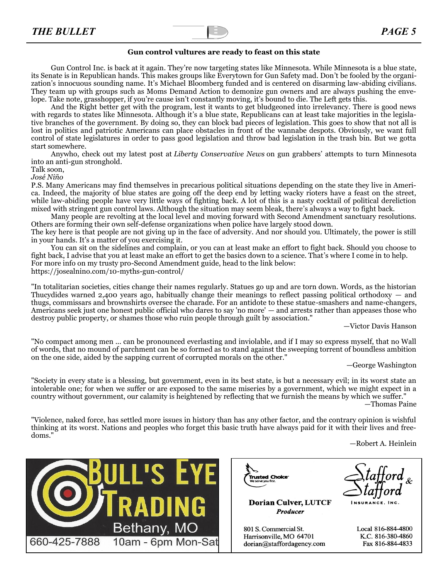

#### **Gun control vultures are ready to feast on this state**

Gun Control Inc. is back at it again. They're now targeting states like Minnesota. While Minnesota is a blue state, its Senate is in Republican hands. This makes groups like Everytown for Gun Safety mad. Don't be fooled by the organization's innocuous sounding name. It's Michael Bloomberg funded and is centered on disarming law-abiding civilians. They team up with groups such as Moms Demand Action to demonize gun owners and are always pushing the envelope. Take note, grasshopper, if you're cause isn't constantly moving, it's bound to die. The Left gets this.

And the Right better get with the program, lest it wants to get bludgeoned into irrelevancy. There is good news with regards to states like Minnesota. Although it's a blue state, Republicans can at least take majorities in the legislative branches of the government. By doing so, they can block bad pieces of legislation. This goes to show that not all is lost in politics and patriotic Americans can place obstacles in front of the wannabe despots. Obviously, we want full control of state legislatures in order to pass good legislation and throw bad legislation in the trash bin. But we gotta start somewhere.

Anywho, check out my latest post at *[Liberty Conservative News](https://el2.convertkit-mail.com/c/38u5mz6qd9ikhv00zvar/qvh8h7h6ld47gw/aHR0cHM6Ly9saWJlcnR5Y29uc2VydmF0aXZlbmV3cy5jb20vZ3VuLWNvbnRyb2wtZ3JvdXAtZ29lcy1vbi1hLXNwZW5kaW5nLXNwcmVlLXRvLWZsaXAtbWlubmVzb3RhLXNlbmF0ZS8=)* on gun grabbers' attempts to turn Minnesota into an anti-gun stronghold.

Talk soon,

*José Niño*

P.S. Many Americans may find themselves in precarious political situations depending on the state they live in America. Indeed, the majority of blue states are going off the deep end by letting wacky rioters have a feast on the street, while law-abiding people have very little ways of fighting back. A lot of this is a nasty cocktail of political dereliction mixed with stringent gun control laws. Although the situation may seem bleak, there's always a way to fight back.

Many people are revolting at the local level and moving forward with Second Amendment sanctuary resolutions. Others are forming their own self-defense organizations when police have largely stood down.

The key here is that people are not giving up in the face of adversity. And nor should you. Ultimately, the power is still in your hands. It's a matter of you exercising it.

You can sit on the sidelines and complain, or you can at least make an effort to fight back. Should you choose to fight back, I advise that you at least make an effort to get the basics down to a science. That's where I come in to help. For more info on my trusty pro-Second Amendment guide, head to the link below: [https://josealnino.com/10](https://el2.convertkit-mail.com/c/38u5mz6qd9ikhv00zvar/g3hnh5hz0mld7w/aHR0cHM6Ly9qb3NlYWxuaW5vLmNvbS8xMC1teXRocy1ndW4tY29udHJvbC8=)-myths-gun-control/

"In totalitarian societies, cities change their names regularly. Statues go up and are torn down. Words, as the historian Thucydides warned 2,400 years ago, habitually change their meanings to reflect passing political orthodoxy — and thugs, commissars and brownshirts oversee the charade. For an antidote to these statue-smashers and name-changers, Americans seek just one honest public official who dares to say 'no more' — and arrests rather than appeases those who destroy public property, or shames those who ruin people through guilt by association."

—Victor Davis Hanson

"No compact among men ... can be pronounced everlasting and inviolable, and if I may so express myself, that no Wall of words, that no mound of parchment can be so formed as to stand against the sweeping torrent of boundless ambition on the one side, aided by the sapping current of corrupted morals on the other."

—George Washington

"Society in every state is a blessing, but government, even in its best state, is but a necessary evil; in its worst state an intolerable one; for when we suffer or are exposed to the same miseries by a government, which we might expect in a country without government, our calamity is heightened by reflecting that we furnish the means by which we suffer."

—Thomas Paine

"Violence, naked force, has settled more issues in history than has any other factor, and the contrary opinion is wishful thinking at its worst. Nations and peoples who forget this basic truth have always paid for it with their lives and freedoms."

—Robert A. Heinlein





**Dorian Culver, LUTCF Producer** 

801 S. Commercial St. Harrisonville, MO 64701 dorian@staffordagency.com

Local 816-884-4800 K.C. 816-380-4860 Fax 816-884-4833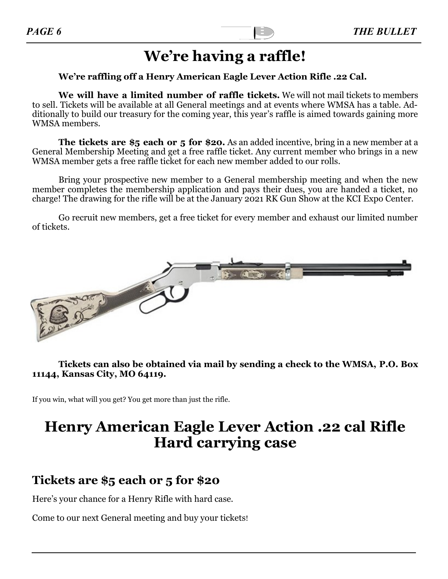# **We're having a raffle!**

### **We're raffling off a Henry American Eagle Lever Action Rifle .22 Cal.**

**We will have a limited number of raffle tickets.** We will not mail tickets to members to sell. Tickets will be available at all General meetings and at events where WMSA has a table. Additionally to build our treasury for the coming year, this year's raffle is aimed towards gaining more WMSA members.

**The tickets are \$5 each or 5 for \$20.** As an added incentive, bring in a new member at a General Membership Meeting and get a free raffle ticket. Any current member who brings in a new WMSA member gets a free raffle ticket for each new member added to our rolls.

Bring your prospective new member to a General membership meeting and when the new member completes the membership application and pays their dues, you are handed a ticket, no charge! The drawing for the rifle will be at the January 2021 RK Gun Show at the KCI Expo Center.

Go recruit new members, get a free ticket for every member and exhaust our limited number of tickets.



### **Tickets can also be obtained via mail by sending a check to the WMSA, P.O. Box 11144, Kansas City, MO 64119.**

If you win, what will you get? You get more than just the rifle.

# **Henry American Eagle Lever Action .22 cal Rifle Hard carrying case**

# **Tickets are \$5 each or 5 for \$20**

Here's your chance for a Henry Rifle with hard case.

Come to our next General meeting and buy your tickets!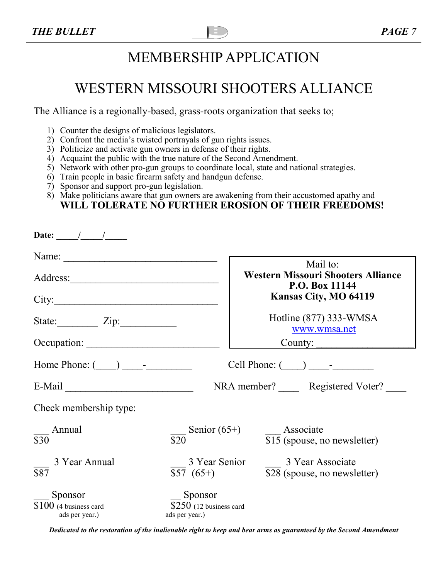# MEMBERSHIP APPLICATION

# WESTERN MISSOURI SHOOTERS ALLIANCE

The Alliance is a regionally-based, grass-roots organization that seeks to;

- 1) Counter the designs of malicious legislators.
- 2) Confront the media's twisted portrayals of gun rights issues.
- 3) Politicize and activate gun owners in defense of their rights.
- 4) Acquaint the public with the true nature of the Second Amendment.
- 5) Network with other pro-gun groups to coordinate local, state and national strategies.
- 6) Train people in basic firearm safety and handgun defense.
- 7) Sponsor and support pro-gun legislation.
- 8) Make politicians aware that gun owners are awakening from their accustomed apathy and **WILL TOLERATE NO FURTHER EROSION OF THEIR FREEDOMS!**

| Date: $\frac{1}{\sqrt{1-\frac{1}{2}}}$                                                |                                                       |                                                             |
|---------------------------------------------------------------------------------------|-------------------------------------------------------|-------------------------------------------------------------|
|                                                                                       |                                                       | Mail to:                                                    |
|                                                                                       |                                                       | <b>Western Missouri Shooters Alliance</b><br>P.O. Box 11144 |
| City:                                                                                 |                                                       | Kansas City, MO 64119                                       |
| State: $\angle Zip:$                                                                  |                                                       | Hotline $(877)$ 333-WMSA<br>www.wmsa.net                    |
| Occupation:                                                                           |                                                       | County:                                                     |
| Home Phone: $\begin{array}{c} \boxed{\phantom{2}} \\ \boxed{\phantom{2}} \end{array}$ |                                                       |                                                             |
| $E-Mail$                                                                              | NRA member? Registered Voter?                         |                                                             |
| Check membership type:                                                                |                                                       |                                                             |
| Annual<br>$\overline{$30}$                                                            | Senior $(65+)$<br>$\overline{$}20$                    | Associate<br>\$15 (spouse, no newsletter)                   |
| 3 Year Annual<br>$\overline{$87}$                                                     | 3 Year Senior<br>$$57(65+)$                           | 3 Year Associate<br>\$28 (spouse, no newsletter)            |
| Sponsor<br>$$100$ (4 business card<br>ads per year.)                                  | Sponsor<br>$$250$ (12 business card<br>ads per year.) |                                                             |

*Dedicated to the restoration of the inalienable right to keep and bear arms as guaranteed by the Second Amendment*